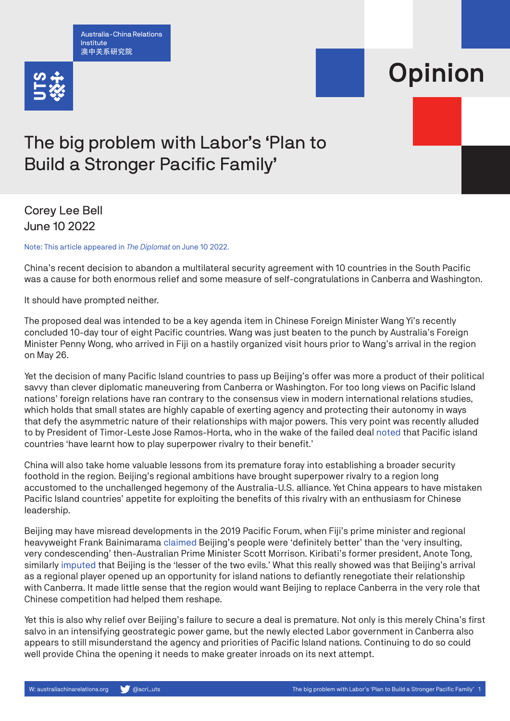Australia-China Relations Institute 澳中关系研究院



## Opinion

## The big problem with Labor's 'Plan to Build a Stronger Pacific Family'

## Corey Lee Bell June 10 2022

Note: This article appeared in *The Diplomat* on June 10 2022.

China's recent decision to abandon a multilateral security agreement with 10 countries in the South Pacific was a cause for both enormous relief and some measure of self-congratulations in Canberra and Washington.

It should have prompted neither.

The proposed deal was intended to be a key agenda item in Chinese Foreign Minister Wang Yi's recently concluded 10-day tour of eight Pacific countries. Wang was just beaten to the punch by Australia's Foreign Minister Penny Wong, who arrived in Fiji on a hastily organized visit hours prior to Wang's arrival in the region on May 26.

Yet the decision of many Pacific Island countries to pass up Beijing's offer was more a product of their political savvy than clever diplomatic maneuvering from Canberra or Washington. For too long views on Pacific Island nations' foreign relations have ran contrary to the consensus view in modern international relations studies, which holds that small states are highly capable of exerting agency and protecting their autonomy in ways that defy the asymmetric nature of their relationships with major powers. This very point was recently alluded to by President of Timor-Leste Jose Ramos-Horta, who in the wake of the failed deal [noted](https://www.theaustralian.com.au/world/the-times/were-turning-to-china-because-you-neglect-us-says-east-timor-president/news-story/e27f7269d2c6cee98dd548143bc10ee8) that Pacific island countries 'have learnt how to play superpower rivalry to their benefit.'

China will also take home valuable lessons from its premature foray into establishing a broader security foothold in the region. Beijing's regional ambitions have brought superpower rivalry to a region long accustomed to the unchallenged hegemony of the Australia-U.S. alliance. Yet China appears to have mistaken Pacific Island countries' appetite for exploiting the benefits of this rivalry with an enthusiasm for Chinese leadership.

Beijing may have misread developments in the 2019 Pacific Forum, when Fiji's prime minister and regional heavyweight Frank Bainimarama [claimed](https://www.theguardian.com/world/2019/aug/16/fiji-pm-frank-bainimarama-insulting-scott-morrison-rift-pacific-countries) Beijing's people were 'definitely better' than the 'very insulting, very condescending' then-Australian Prime Minister Scott Morrison. Kiribati's former president, Anote Tong, similarly [imputed](https://thediplomat.com/2019/08/australia-risks-losing-allies-in-pacific-over-climate-policies/) that Beijing is the 'lesser of the two evils.' What this really showed was that Beijing's arrival as a regional player opened up an opportunity for island nations to defiantly renegotiate their relationship with Canberra. It made little sense that the region would want Beijing to replace Canberra in the very role that Chinese competition had helped them reshape.

Yet this is also why relief over Beijing's failure to secure a deal is premature. Not only is this merely China's first salvo in an intensifying geostrategic power game, but the newly elected Labor government in Canberra also appears to still misunderstand the agency and priorities of Pacific Island nations. Continuing to do so could well provide China the opening it needs to make greater inroads on its next attempt.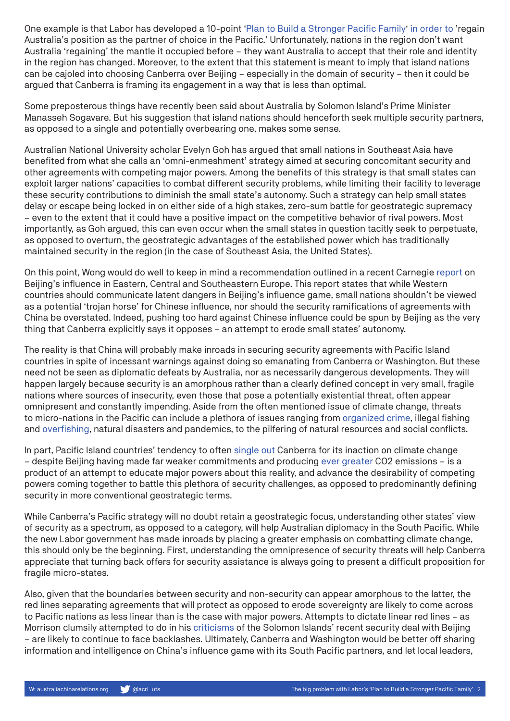One example is that Labor has developed a 10-point ['Plan to Build a Stronger Pacific Family'](https://alp.org.au/policies/labors-plan-to-build-a-stronger-pacific-family) [in order to](https://www.theguardian.com/australia-news/2022/may/25/penny-wong-set-to-travel-to-fiji-on-thursday-coinciding-with-chinese-ministers-pacific-tour) 'regain Australia's position as the partner of choice in the Pacific.' Unfortunately, nations in the region don't want Australia 'regaining' the mantle it occupied before – they want Australia to accept that their role and identity in the region has changed. Moreover, to the extent that this statement is meant to imply that island nations can be cajoled into choosing Canberra over Beijing – especially in the domain of security – then it could be argued that Canberra is framing its engagement in a way that is less than optimal.

Some preposterous things have recently been said about Australia by Solomon Island's Prime Minister Manasseh Sogavare. But his suggestion that island nations should henceforth seek multiple security partners, as opposed to a single and potentially overbearing one, makes some sense.

Australian National University scholar Evelyn Goh has argued that small nations in Southeast Asia have benefited from what she calls an 'omni-enmeshment' strategy aimed at securing concomitant security and other agreements with competing major powers. Among the benefits of this strategy is that small states can exploit larger nations' capacities to combat different security problems, while limiting their facility to leverage these security contributions to diminish the small state's autonomy. Such a strategy can help small states delay or escape being locked in on either side of a high stakes, zero-sum battle for geostrategic supremacy – even to the extent that it could have a positive impact on the competitive behavior of rival powers. Most importantly, as Goh argued, this can even occur when the small states in question tacitly seek to perpetuate, as opposed to overturn, the geostrategic advantages of the established power which has traditionally maintained security in the region (in the case of Southeast Asia, the United States).

On this point, Wong would do well to keep in mind a recommendation outlined in a recent Carnegie [report](https://carnegieendowment.org/2021/10/13/china-s-influence-in-southeastern-central-and-eastern-europe-vulnerabilities-and-resilience-in-four-countries-pub-85415) on Beijing's influence in Eastern, Central and Southeastern Europe. This report states that while Western countries should communicate latent dangers in Beijing's influence game, small nations shouldn't be viewed as a potential 'trojan horse' for Chinese influence, nor should the security ramifications of agreements with China be overstated. Indeed, pushing too hard against Chinese influence could be spun by Beijing as the very thing that Canberra explicitly says it opposes – an attempt to erode small states' autonomy.

The reality is that China will probably make inroads in securing security agreements with Pacific Island countries in spite of incessant warnings against doing so emanating from Canberra or Washington. But these need not be seen as diplomatic defeats by Australia, nor as necessarily dangerous developments. They will happen largely because security is an amorphous rather than a clearly defined concept in very small, fragile nations where sources of insecurity, even those that pose a potentially existential threat, often appear omnipresent and constantly impending. Aside from the often mentioned issue of climate change, threats to micro-nations in the Pacific can include a plethora of issues ranging from [organized crime](https://www.theguardian.com/world/2019/jun/24/the-new-drug-highway-pacific-islands-at-centre-of-cocaine-trafficking-boom), illegal fishing and [overfishing](https://chinadialogueocean.net/en/fisheries/9225-pacific-islanders-climate-change-overfishing/), natural disasters and pandemics, to the pilfering of natural resources and social conflicts.

In part, Pacific Island countries' tendency to often [single out](https://www.smh.com.au/environment/climate-change/pacific-community-pleads-for-australian-climate-action-amid-regional-tension-20220429-p5ahap.html) Canberra for its inaction on climate change – despite Beijing having made far weaker commitments and producing [ever greater](https://www.australiachinarelations.org/content/china%E2%80%99s-changing-climate-action-roadmap) CO2 emissions – is a product of an attempt to educate major powers about this reality, and advance the desirability of competing powers coming together to battle this plethora of security challenges, as opposed to predominantly defining security in more conventional geostrategic terms.

While Canberra's Pacific strategy will no doubt retain a geostrategic focus, understanding other states' view of security as a spectrum, as opposed to a category, will help Australian diplomacy in the South Pacific. While the new Labor government has made inroads by placing a greater emphasis on combatting climate change, this should only be the beginning. First, understanding the omnipresence of security threats will help Canberra appreciate that turning back offers for security assistance is always going to present a difficult proposition for fragile micro-states.

Also, given that the boundaries between security and non-security can appear amorphous to the latter, the red lines separating agreements that will protect as opposed to erode sovereignty are likely to come across to Pacific nations as less linear than is the case with major powers. Attempts to dictate linear red lines – as Morrison clumsily attempted to do in his criticisms of the Solomon Islands' recent security deal with Beijing – are likely to continue to face backlashes. Ultimately, Canberra and Washington would be better off sharing information and intelligence on China's influence game with its South Pacific partners, and let local leaders,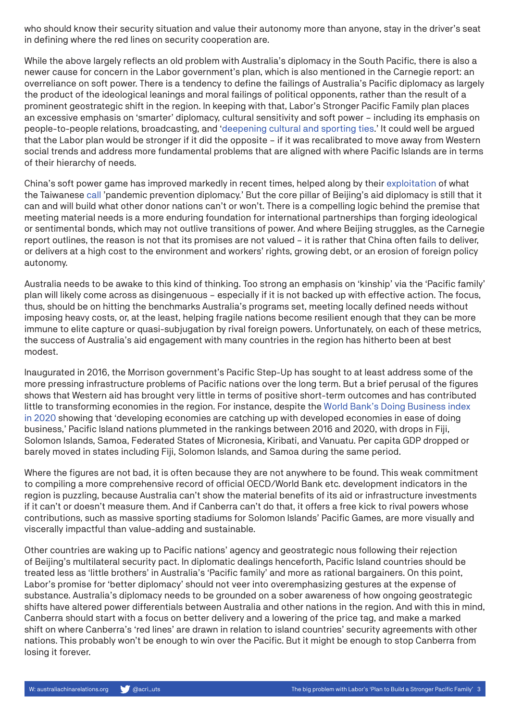who should know their security situation and value their autonomy more than anyone, stay in the driver's seat in defining where the red lines on security cooperation are.

While the above largely reflects an old problem with Australia's diplomacy in the South Pacific, there is also a newer cause for concern in the Labor government's plan, which is also mentioned in the Carnegie report: an overreliance on soft power. There is a tendency to define the failings of Australia's Pacific diplomacy as largely the product of the ideological leanings and moral failings of political opponents, rather than the result of a prominent geostrategic shift in the region. In keeping with that, Labor's Stronger Pacific Family plan places an excessive emphasis on 'smarter' diplomacy, cultural sensitivity and soft power – including its emphasis on people-to-people relations, broadcasting, and ['deepening cultural and sporting ties.](https://www.aljazeera.com/news/2022/6/1/australian-fm-to-visit-samoa-tonga-in-bid-to-boost-pacific-ties)' It could well be argued that the Labor plan would be stronger if it did the opposite – if it was recalibrated to move away from Western social trends and address more fundamental problems that are aligned with where Pacific Islands are in terms of their hierarchy of needs.

China's soft power game has improved markedly in recent times, helped along by their [exploitation](https://dpa.bellschool.anu.edu.au/sites/default/files/publications/attachments/2020-04/ib_2020_10_zhang_final_0.pdf) of what the Taiwanese [call](https://english.119.gov.taipei/News_Content.aspx?n=5A5095A76D29FF0B&s=60C8F6C90C796F7D) 'pandemic prevention diplomacy.' But the core pillar of Beijing's aid diplomacy is still that it can and will build what other donor nations can't or won't. There is a compelling logic behind the premise that meeting material needs is a more enduring foundation for international partnerships than forging ideological or sentimental bonds, which may not outlive transitions of power. And where Beijing struggles, as the Carnegie report outlines, the reason is not that its promises are not valued – it is rather that China often fails to deliver, or delivers at a high cost to the environment and workers' rights, growing debt, or an erosion of foreign policy autonomy.

Australia needs to be awake to this kind of thinking. Too strong an emphasis on 'kinship' via the 'Pacific family' plan will likely come across as disingenuous – especially if it is not backed up with effective action. The focus, thus, should be on hitting the benchmarks Australia's programs set, meeting locally defined needs without imposing heavy costs, or, at the least, helping fragile nations become resilient enough that they can be more immune to elite capture or quasi-subjugation by rival foreign powers. Unfortunately, on each of these metrics, the success of Australia's aid engagement with many countries in the region has hitherto been at best modest.

Inaugurated in 2016, the Morrison government's Pacific Step-Up has sought to at least address some of the more pressing infrastructure problems of Pacific nations over the long term. But a brief perusal of the figures shows that Western aid has brought very little in terms of positive short-term outcomes and has contributed little to transforming economies in the region. For instance, despite the [World Bank's Doing Business index](https://documents1.worldbank.org/curated/en/688761571934946384/pdf/Doing-Business-2020-Comparing-Business-Regulation-in-190-Economies.pdf)  [in 2020](https://documents1.worldbank.org/curated/en/688761571934946384/pdf/Doing-Business-2020-Comparing-Business-Regulation-in-190-Economies.pdf) showing that 'developing economies are catching up with developed economies in ease of doing business,' Pacific Island nations plummeted in the rankings between 2016 and 2020, with drops in Fiji, Solomon Islands, Samoa, Federated States of Micronesia, Kiribati, and Vanuatu. Per capita GDP dropped or barely moved in states including Fiji, Solomon Islands, and Samoa during the same period.

Where the figures are not bad, it is often because they are not anywhere to be found. This weak commitment to compiling a more comprehensive record of official OECD/World Bank etc. development indicators in the region is puzzling, because Australia can't show the material benefits of its aid or infrastructure investments if it can't or doesn't measure them. And if Canberra can't do that, it offers a free kick to rival powers whose contributions, such as massive sporting stadiums for Solomon Islands' Pacific Games, are more visually and viscerally impactful than value-adding and sustainable.

Other countries are waking up to Pacific nations' agency and geostrategic nous following their rejection of Beijing's multilateral security pact. In diplomatic dealings henceforth, Pacific Island countries should be treated less as 'little brothers' in Australia's 'Pacific family' and more as rational bargainers. On this point, Labor's promise for 'better diplomacy' should not veer into overemphasizing gestures at the expense of substance. Australia's diplomacy needs to be grounded on a sober awareness of how ongoing geostrategic shifts have altered power differentials between Australia and other nations in the region. And with this in mind, Canberra should start with a focus on better delivery and a lowering of the price tag, and make a marked shift on where Canberra's 'red lines' are drawn in relation to island countries' security agreements with other nations. This probably won't be enough to win over the Pacific. But it might be enough to stop Canberra from losing it forever.